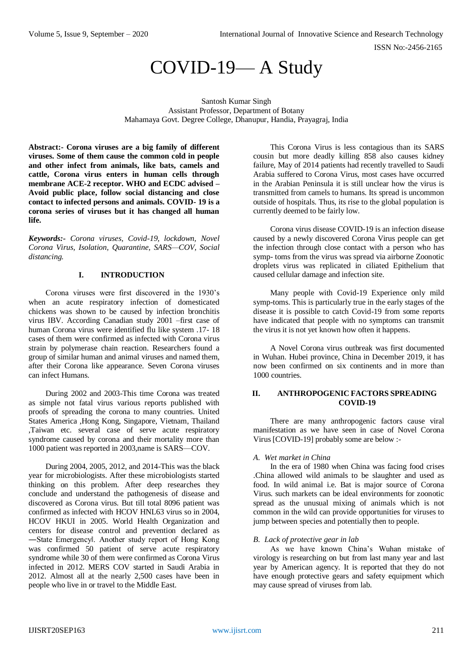# COVID-19— A Study

Santosh Kumar Singh Assistant Professor, Department of Botany Mahamaya Govt. Degree College, Dhanupur, Handia, Prayagraj, India

**Abstract:- Corona viruses are a big family of different viruses. Some of them cause the common cold in people and other infect from animals, like bats, camels and cattle, Corona virus enters in human cells through membrane ACE-2 receptor. WHO and ECDC advised – Avoid public place, follow social distancing and close contact to infected persons and animals. COVID- 19 is a corona series of viruses but it has changed all human life.**

*Keywords:- Corona viruses, Covid-19, lockdown, Novel Corona Virus, Isolation, Quarantine, SARS—COV, Social distancing.*

## **I. INTRODUCTION**

Corona viruses were first discovered in the 1930's when an acute respiratory infection of domesticated chickens was shown to be caused by infection bronchitis virus IBV. According Canadian study 2001 –first case of human Corona virus were identified flu like system .17- 18 cases of them were confirmed as infected with Corona virus strain by polymerase chain reaction. Researchers found a group of similar human and animal viruses and named them, after their Corona like appearance. Seven Corona viruses can infect Humans.

During 2002 and 2003-This time Corona was treated as simple not fatal virus various reports published with proofs of spreading the corona to many countries. United States America ,Hong Kong, Singapore, Vietnam, Thailand ,Taiwan etc. several case of serve acute respiratory syndrome caused by corona and their mortality more than 1000 patient was reported in 2003,name is SARS—COV.

During 2004, 2005, 2012, and 2014-This was the black year for microbiologists. After these microbiologists started thinking on this problem. After deep researches they conclude and understand the pathogenesis of disease and discovered as Corona virus. But till total 8096 patient was confirmed as infected with HCOV HNL63 virus so in 2004, HCOV HKUI in 2005. World Health Organization and centers for disease control and prevention declared as ―State Emergency‖. Another study report of Hong Kong was confirmed 50 patient of serve acute respiratory syndrome while 30 of them were confirmed as Corona Virus infected in 2012. MERS COV started in Saudi Arabia in 2012. Almost all at the nearly 2,500 cases have been in people who live in or travel to the Middle East.

This Corona Virus is less contagious than its SARS cousin but more deadly killing 858 also causes kidney failure, May of 2014 patients had recently travelled to Saudi Arabia suffered to Corona Virus, most cases have occurred in the Arabian Peninsula it is still unclear how the virus is transmitted from camels to humans. Its spread is uncommon outside of hospitals. Thus, its rise to the global population is currently deemed to be fairly low.

Corona virus disease COVID-19 is an infection disease caused by a newly discovered Corona Virus people can get the infection through close contact with a person who has symp- toms from the virus was spread via airborne Zoonotic droplets virus was replicated in ciliated Epithelium that caused cellular damage and infection site.

Many people with Covid-19 Experience only mild symp-toms. This is particularly true in the early stages of the disease it is possible to catch Covid-19 from some reports have indicated that people with no symptoms can transmit the virus it is not yet known how often it happens.

A Novel Corona virus outbreak was first documented in Wuhan. Hubei province, China in December 2019, it has now been confirmed on six continents and in more than 1000 countries.

## **II. ANTHROPOGENIC FACTORS SPREADING COVID-19**

There are many anthropogenic factors cause viral manifestation as we have seen in case of Novel Corona Virus [COVID-19] probably some are below :-

#### *A. Wet market in China*

In the era of 1980 when China was facing food crises .China allowed wild animals to be slaughter and used as food. In wild animal i.e. Bat is major source of Corona Virus. such markets can be ideal environments for zoonotic spread as the unusual mixing of animals which is not common in the wild can provide opportunities for viruses to jump between species and potentially then to people.

## *B. Lack of protective gear in lab*

As we have known China's Wuhan mistake of virology is researching on but from last many year and last year by American agency. It is reported that they do not have enough protective gears and safety equipment which may cause spread of viruses from lab.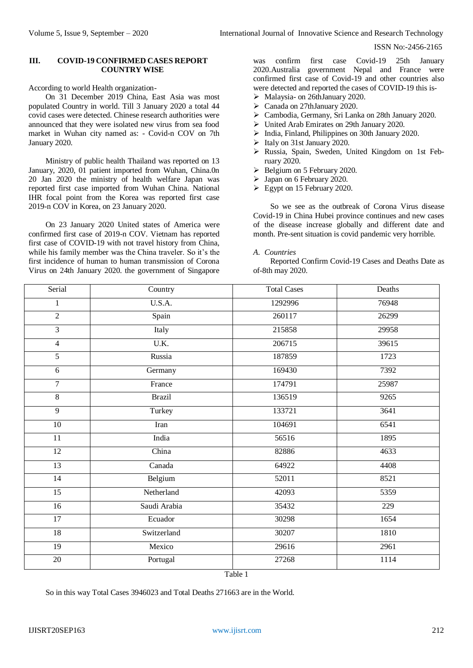#### ISSN No:-2456-2165

#### **III. COVID-19 CONFIRMED CASES REPORT COUNTRY WISE**

According to world Health organization-

On 31 December 2019 China, East Asia was most populated Country in world. Till 3 January 2020 a total 44 covid cases were detected. Chinese research authorities were announced that they were isolated new virus from sea food market in Wuhan city named as: - Covid-n COV on 7th January 2020.

Ministry of public health Thailand was reported on 13 January, 2020, 01 patient imported from Wuhan, China.0n 20 Jan 2020 the ministry of health welfare Japan was reported first case imported from Wuhan China. National IHR focal point from the Korea was reported first case 2019-n COV in Korea, on 23 January 2020.

On 23 January 2020 United states of America were confirmed first case of 2019-n COV. Vietnam has reported first case of COVID-19 with not travel history from China, while his family member was the China traveler. So it's the first incidence of human to human transmission of Corona Virus on 24th January 2020. the government of Singapore was confirm first case Covid-19 25th January 2020.Australia government Nepal and France were confirmed first case of Covid-19 and other countries also were detected and reported the cases of COVID-19 this is-

- Malaysia- on 26thJanuary 2020.
- Canada on 27thJanuary 2020.
- Cambodia, Germany, Sri Lanka on 28th January 2020.
- United Arab Emirates on 29th January 2020.
- $\triangleright$  India, Finland, Philippines on 30th January 2020.
- Italy on 31st January 2020.
- Russia, Spain, Sweden, United Kingdom on 1st February 2020.
- $\triangleright$  Belgium on 5 February 2020.
- Japan on 6 February 2020.
- $\triangleright$  Egypt on 15 February 2020.

So we see as the outbreak of Corona Virus disease Covid-19 in China Hubei province continues and new cases of the disease increase globally and different date and month. Pre-sent situation is covid pandemic very horrible.

#### *A. Countries*

Reported Confirm Covid-19 Cases and Deaths Date as of-8th may 2020.

| Serial          | Country       | <b>Total Cases</b> | Deaths |
|-----------------|---------------|--------------------|--------|
| $\mathbf{1}$    | U.S.A.        | 1292996            | 76948  |
| $\overline{2}$  | Spain         | 260117             | 26299  |
| $\overline{3}$  | Italy         | 215858             | 29958  |
| $\overline{4}$  | U.K.          | 206715             | 39615  |
| $\overline{5}$  | Russia        | 187859             | 1723   |
| 6               | Germany       | 169430             | 7392   |
| $\overline{7}$  | France        | 174791             | 25987  |
| $\overline{8}$  | <b>Brazil</b> | 136519             | 9265   |
| $\overline{9}$  | Turkey        | 133721             | 3641   |
| 10              | Iran          | 104691             | 6541   |
| $\overline{11}$ | India         | 56516              | 1895   |
| 12              | China         | 82886              | 4633   |
| 13              | Canada        | 64922              | 4408   |
| 14              | Belgium       | 52011              | 8521   |
| $\overline{15}$ | Netherland    | 42093              | 5359   |
| 16              | Saudi Arabia  | 35432              | 229    |
| 17              | Ecuador       | 30298              | 1654   |
| $\overline{18}$ | Switzerland   | 30207              | 1810   |
| 19              | Mexico        | 29616              | 2961   |
| $20\,$          | Portugal      | 27268              | 1114   |

Table 1

So in this way Total Cases 3946023 and Total Deaths 271663 are in the World.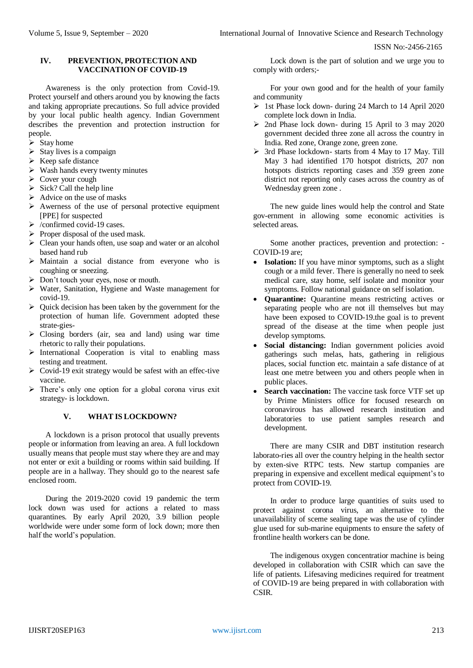ISSN No:-2456-2165

## **IV. PREVENTION, PROTECTION AND VACCINATION OF COVID-19**

Awareness is the only protection from Covid-19. Protect yourself and others around you by knowing the facts and taking appropriate precautions. So full advice provided by your local public health agency. Indian Government describes the prevention and protection instruction for people.

- $\triangleright$  Stay home
- $\triangleright$  Stay lives is a compaign
- $\triangleright$  Keep safe distance
- $\triangleright$  Wash hands every twenty minutes
- $\triangleright$  Cover your cough
- $\triangleright$  Sick? Call the help line
- $\triangleright$  Advice on the use of masks
- $\triangleright$  Awerness of the use of personal protective equipment [PPE] for suspected
- $\triangleright$  /confirmed covid-19 cases.
- $\triangleright$  Proper disposal of the used mask.
- Clean your hands often, use soap and water or an alcohol based hand rub
- $\triangleright$  Maintain a social distance from everyone who is coughing or sneezing.
- > Don't touch your eyes, nose or mouth.
- Water, Sanitation, Hygiene and Waste management for covid-19.
- $\triangleright$  Quick decision has been taken by the government for the protection of human life. Government adopted these strate-gies-
- $\triangleright$  Closing borders (air, sea and land) using war time rhetoric to rally their populations.
- $\triangleright$  International Cooperation is vital to enabling mass testing and treatment.
- $\triangleright$  Covid-19 exit strategy would be safest with an effec-tive vaccine.
- $\triangleright$  There's only one option for a global corona virus exit strategy- is lockdown.

## **V. WHAT IS LOCKDOWN?**

A lockdown is a prison protocol that usually prevents people or information from leaving an area. A full lockdown usually means that people must stay where they are and may not enter or exit a building or rooms within said building. If people are in a hallway. They should go to the nearest safe enclosed room.

During the 2019-2020 covid 19 pandemic the term lock down was used for actions a related to mass quarantines. By early April 2020, 3.9 billion people worldwide were under some form of lock down; more then half the world's population.

Lock down is the part of solution and we urge you to comply with orders;-

For your own good and for the health of your family and community

- > 1st Phase lock down- during 24 March to 14 April 2020 complete lock down in India.
- $\geq$  2nd Phase lock down- during 15 April to 3 may 2020 government decided three zone all across the country in India. Red zone, Orange zone, green zone.
- > 3rd Phase lockdown- starts from 4 May to 17 May. Till May 3 had identified 170 hotspot districts, 207 non hotspots districts reporting cases and 359 green zone district not reporting only cases across the country as of Wednesday green zone .

The new guide lines would help the control and State gov-ernment in allowing some economic activities is selected areas.

Some another practices, prevention and protection: - COVID-19 are;

- **Isolation:** If you have minor symptoms, such as a slight cough or a mild fever. There is generally no need to seek medical care, stay home, self isolate and monitor your symptoms. Follow national guidance on self isolation.
- **Quarantine:** Quarantine means restricting actives or separating people who are not ill themselves but may have been exposed to COVID-19.the goal is to prevent spread of the disease at the time when people just develop symptoms.
- Social distancing: Indian government policies avoid gatherings such melas, hats, gathering in religious places, social function etc. maintain a safe distance of at least one metre between you and others people when in public places.
- **Search vaccination:** The vaccine task force VTF set up by Prime Ministers office for focused research on coronavirous has allowed research institution and laboratories to use patient samples research and development.

There are many CSIR and DBT institution research laborato-ries all over the country helping in the health sector by exten-sive RTPC tests. New startup companies are preparing in expensive and excellent medical equipment's to protect from COVID-19.

In order to produce large quantities of suits used to protect against corona virus, an alternative to the unavailability of sceme sealing tape was the use of cylinder glue used for sub-marine equipments to ensure the safety of frontline health workers can be done.

The indigenous oxygen concentratior machine is being developed in collaboration with CSIR which can save the life of patients. Lifesaving medicines required for treatment of COVID-19 are being prepared in with collaboration with CSIR.